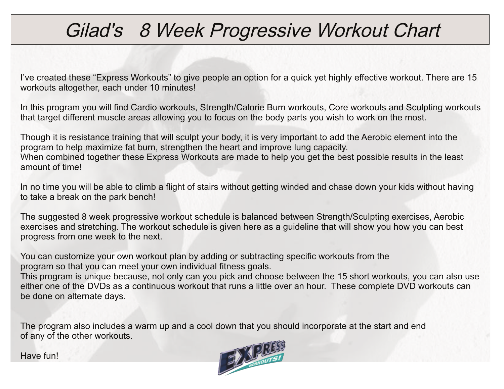# Gilad's 8 Week Progressive Workout Chart

I've created these "Express Workouts" to give people an option for a quick yet highly effective workout. There are 15 workouts altogether, each under 10 minutes!

In this program you will find Cardio workouts, Strength/Calorie Burn workouts, Core workouts and Sculpting workouts that target different muscle areas allowing you to focus on the body parts you wish to work on the most.

Though it is resistance training that will sculpt your body, it is very important to add the Aerobic element into the program to help maximize fat burn, strengthen the heart and improve lung capacity. When combined together these Express Workouts are made to help you get the best possible results in the least amount of time!

In no time you will be able to climb a flight of stairs without getting winded and chase down your kids without having to take a break on the park bench!

The suggested 8 week progressive workout schedule is balanced between Strength/Sculpting exercises, Aerobic exercises and stretching. The workout schedule is given here as a guideline that will show you how you can best progress from one week to the next.

You can customize your own workout plan by adding or subtracting specific workouts from the program so that you can meet your own individual fitness goals.

This program is unique because, not only can you pick and choose between the 15 short workouts, you can also use either one of the DVDs as a continuous workout that runs a little over an hour. These complete DVD workouts can be done on alternate days.

The program also includes a warm up and a cool down that you should incorporate at the start and end of any of the other workouts.

Have fun!

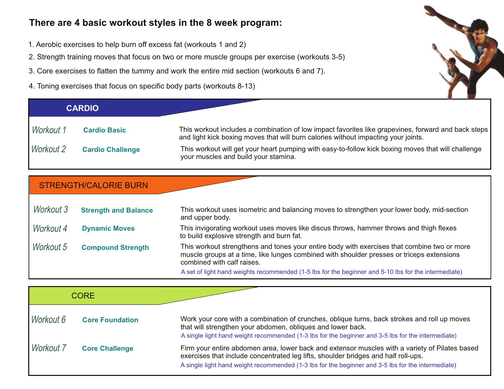### **There are 4 basic workout styles in the 8 week program:**

- 1. Aerobic exercises to help burn off excess fat (workouts 1 and 2)
- 2. Strength training moves that focus on two or more muscle groups per exercise (workouts 3-5)
- 3. Core exercises to flatten the tummy and work the entire mid section (workouts 6 and 7).
- 4. Toning exercises that focus on specific body parts (workouts 8-13)

| <b>CARDIO</b> |                         |                                                                                                                                                                                           |
|---------------|-------------------------|-------------------------------------------------------------------------------------------------------------------------------------------------------------------------------------------|
| Workout 1     | <b>Cardio Basic</b>     | This workout includes a combination of low impact favorites like grapevines, forward and back steps<br>and light kick boxing moves that will burn calories without impacting your joints. |
| Workout 2     | <b>Cardio Challenge</b> | This workout will get your heart pumping with easy-to-follow kick boxing moves that will challenge<br>your muscles and build your stamina.                                                |

### STRENGTH/CALORIE BURN

| Workout 3 | <b>Strength and Balance</b> | This workout uses isometric and balancing moves to strengthen your lower body, mid-section<br>and upper body.                                                                                                          |
|-----------|-----------------------------|------------------------------------------------------------------------------------------------------------------------------------------------------------------------------------------------------------------------|
| Workout 4 | <b>Dynamic Moves</b>        | This invigorating workout uses moves like discus throws, hammer throws and thigh flexes<br>to build explosive strength and burn fat.                                                                                   |
| Workout 5 | <b>Compound Strength</b>    | This workout strengthens and tones your entire body with exercises that combine two or more<br>muscle groups at a time, like lunges combined with shoulder presses or triceps extensions<br>combined with calf raises. |
|           |                             | A set of light hand weights recommended (1-5 lbs for the beginner and 5-10 lbs for the intermediate)                                                                                                                   |

| <b>CORE</b> |                        |                                                                                                                                                                                                                                                                                            |
|-------------|------------------------|--------------------------------------------------------------------------------------------------------------------------------------------------------------------------------------------------------------------------------------------------------------------------------------------|
| Workout 6   | <b>Core Foundation</b> | Work your core with a combination of crunches, oblique turns, back strokes and roll up moves<br>that will strengthen your abdomen, obliques and lower back.<br>A single light hand weight recommended (1-3 lbs for the beginner and 3-5 lbs for the intermediate)                          |
| Workout 7   | <b>Core Challenge</b>  | Firm your entire abdomen area, lower back and extensor muscles with a variety of Pilates based<br>exercises that include concentrated leg lifts, shoulder bridges and half roll-ups.<br>A single light hand weight recommended (1-3 lbs for the beginner and 3-5 lbs for the intermediate) |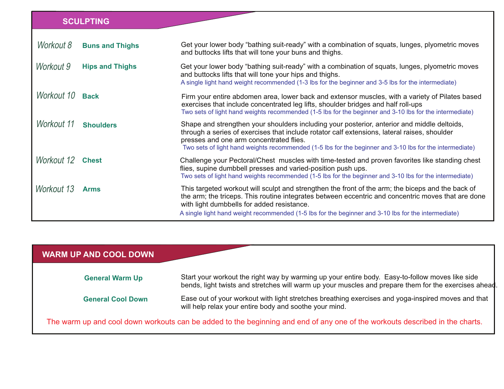### **SCULPTING**

| Workout 8        | <b>Buns and Thighs</b> | Get your lower body "bathing suit-ready" with a combination of squats, lunges, plyometric moves<br>and buttocks lifts that will tone your buns and thighs.                                                                                                                                                                                                   |
|------------------|------------------------|--------------------------------------------------------------------------------------------------------------------------------------------------------------------------------------------------------------------------------------------------------------------------------------------------------------------------------------------------------------|
| Workout 9        | <b>Hips and Thighs</b> | Get your lower body "bathing suit-ready" with a combination of squats, lunges, plyometric moves<br>and buttocks lifts that will tone your hips and thighs.<br>A single light hand weight recommended (1-3 lbs for the beginner and 3-5 lbs for the intermediate)                                                                                             |
| Workout 10 Back  |                        | Firm your entire abdomen area, lower back and extensor muscles, with a variety of Pilates based<br>exercises that include concentrated leg lifts, shoulder bridges and half roll-ups<br>Two sets of light hand weights recommended (1-5 lbs for the beginner and 3-10 lbs for the intermediate)                                                              |
| Workout 11       | <b>Shoulders</b>       | Shape and strengthen your shoulders including your posterior, anterior and middle deltoids,<br>through a series of exercises that include rotator calf extensions, lateral raises, shoulder<br>presses and one arm concentrated flies.<br>Two sets of light hand weights recommended (1-5 lbs for the beginner and 3-10 lbs for the intermediate)            |
| Workout 12 Chest |                        | Challenge your Pectoral/Chest muscles with time-tested and proven favorites like standing chest<br>flies, supine dumbbell presses and varied-position push ups.<br>Two sets of light hand weights recommended (1-5 lbs for the beginner and 3-10 lbs for the intermediate)                                                                                   |
| Workout 13       | <b>Arms</b>            | This targeted workout will sculpt and strengthen the front of the arm; the biceps and the back of<br>the arm; the triceps. This routine integrates between eccentric and concentric moves that are done<br>with light dumbbells for added resistance.<br>A single light hand weight recommended (1-5 lbs for the beginner and 3-10 lbs for the intermediate) |

| <b>WARM UP AND COOL DOWN</b> |                                                                                                                                                                                                          |
|------------------------------|----------------------------------------------------------------------------------------------------------------------------------------------------------------------------------------------------------|
| <b>General Warm Up</b>       | Start your workout the right way by warming up your entire body. Easy-to-follow moves like side<br>bends, light twists and stretches will warm up your muscles and prepare them for the exercises ahead. |
| <b>General Cool Down</b>     | Ease out of your workout with light stretches breathing exercises and yoga-inspired moves and that<br>will help relax your entire body and soothe your mind.                                             |
|                              | The warm up and cool down workouts can be added to the beginning and end of any one of the workouts described in the charts.                                                                             |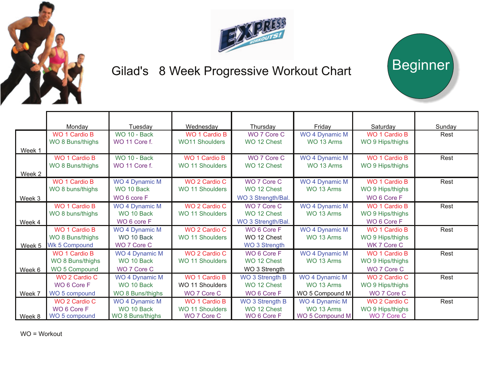



Beginner

## Gilad's 8 Week Progressive Workout Chart

|        | Mondav               | Tuesday               | Wednesday             | Thursday               | Friday                | Saturday             | Sunday |
|--------|----------------------|-----------------------|-----------------------|------------------------|-----------------------|----------------------|--------|
|        | WO 1 Cardio B        | <b>WO 10 - Back</b>   | WO 1 Cardio B         | WO 7 Core C            | WO 4 Dynamic M        | WO 1 Cardio B        | Rest   |
|        | WO 8 Buns/thighs     | WO 11 Core f.         | <b>WO11 Shoulders</b> | WO 12 Chest            | WO 13 Arms            | WO 9 Hips/thighs     |        |
| Week 1 |                      |                       |                       |                        |                       |                      |        |
|        | WO 1 Cardio B        | WO 10 - Back          | <b>WO 1 Cardio B</b>  | WO 7 Core C            | <b>WO 4 Dynamic M</b> | <b>WO 1 Cardio B</b> | Rest   |
|        | WO 8 Buns/thighs     | WO 11 Core f.         | WO 11 Shoulders       | WO 12 Chest            | WO 13 Arms            | WO 9 Hips/thighs     |        |
| Week 2 |                      |                       |                       |                        |                       |                      |        |
|        | WO 1 Cardio B        | <b>WO 4 Dynamic M</b> | WO 2 Cardio C         | WO 7 Core C            | <b>WO 4 Dynamic M</b> | <b>WO 1 Cardio B</b> | Rest   |
|        | WO 8 buns/thighs     | WO 10 Back            | WO 11 Shoulders       | WO 12 Chest            | WO 13 Arms            | WO 9 Hips/thighs     |        |
| Week 3 |                      | WO 6 core F           |                       | WO 3 Strength/Bal.     |                       | WO 6 Core F          |        |
|        | WO 1 Cardio B        | WO 4 Dynamic M        | WO 2 Cardio C         | WO 7 Core C            | <b>WO 4 Dynamic M</b> | <b>WO 1 Cardio B</b> | Rest   |
|        | WO 8 buns/thighs     | WO 10 Back            | WO 11 Shoulders       | WO 12 Chest            | WO 13 Arms            | WO 9 Hips/thighs     |        |
| Week 4 |                      | WO 6 core F           |                       | WO 3 Strength/Bal.     |                       | WO 6 Core F          |        |
|        | WO 1 Cardio B        | <b>WO 4 Dynamic M</b> | WO 2 Cardio C         | WO 6 Core F            | <b>WO 4 Dynamic M</b> | WO 1 Cardio B        | Rest   |
|        | WO 8 Buns/thighs     | WO 10 Back            | WO 11 Shoulders       | WO 12 Chest            | WO 13 Arms            | WO 9 Hips/thighs     |        |
| Week 5 | <b>Wk 5 Compound</b> | WO 7 Core C           |                       | WO 3 Strength          |                       | WK 7 Core C          |        |
|        | WO 1 Cardio B        | <b>WO 4 Dynamic M</b> | WO 2 Cardio C         | WO 6 Core F            | <b>WO 4 Dynamic M</b> | <b>WO 1 Cardio B</b> | Rest   |
|        | WO 8 Buns/thighs     | WO 10 Back            | WO 11 Shoulders       | WO 12 Chest            | WO 13 Arms            | WO 9 Hips/thighs     |        |
| Week 6 | WO 5 Compound        | WO 7 Core C           |                       | WO 3 Strength          |                       | WO 7 Core C          |        |
|        | WO 2 Cardio C        | <b>WO 4 Dynamic M</b> | WO 1 Cardio B         | <b>WO 3 Strength B</b> | <b>WO 4 Dynamic M</b> | WO 2 Cardio C        | Rest   |
|        | WO 6 Core F          | WO 10 Back            | WO 11 Shoulders       | WO 12 Chest            | WO 13 Arms            | WO 9 Hips/thighs     |        |
| Week 7 | WO 5 compound        | WO 8 Buns/thighs      | WO 7 Core C           | WO 6 Core F            | WO 5 Compound M       | WO 7 Core C          |        |
|        | WO 2 Cardio C        | <b>WO 4 Dynamic M</b> | <b>WO 1 Cardio B</b>  | <b>WO 3 Strength B</b> | <b>WO 4 Dynamic M</b> | WO 2 Cardio C        | Rest   |
|        | WO 6 Core F          | WO 10 Back            | WO 11 Shoulders       | WO 12 Chest            | WO 13 Arms            | WO 9 Hips/thighs     |        |
| Week 8 | WO 5 compound        | WO 8 Buns/thighs      | WO 7 Core C           | WO 6 Core F            | WO 5 Compound M       | WO 7 Core C          |        |

WO = Workout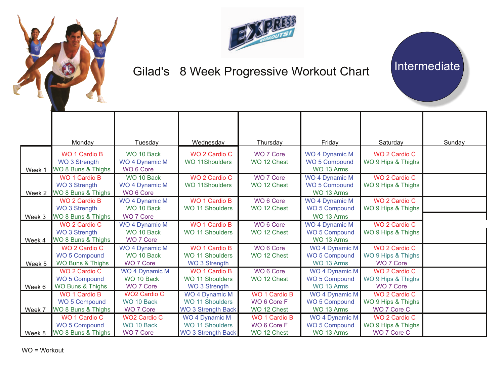



# Gilad's 8 Week Progressive Workout Chart | Intermediate

|                   | Monday                                                      | Tuesday                                                     | Wednesday                                                                    | Thursday                                           | Friday                                                      | Saturday                                                  | Sunday |
|-------------------|-------------------------------------------------------------|-------------------------------------------------------------|------------------------------------------------------------------------------|----------------------------------------------------|-------------------------------------------------------------|-----------------------------------------------------------|--------|
| Week 1            | <b>WO 1 Cardio B</b><br>WO 3 Strength<br>WO 8 Buns & Thighs | WO 10 Back<br><b>WO 4 Dynamic M</b><br>WO <sub>6</sub> Core | WO 2 Cardio C<br><b>WO 11Shoulders</b>                                       | <b>WO 7 Core</b><br>WO 12 Chest                    | <b>WO 4 Dynamic M</b><br>WO 5 Compound<br>WO 13 Arms        | WO 2 Cardio C<br>WO 9 Hips & Thighs                       |        |
| Week 2            | <b>WO 1 Cardio B</b><br>WO 3 Strength<br>WO 8 Buns & Thighs | WO 10 Back<br><b>WO 4 Dynamic M</b><br>WO <sub>6</sub> Core | WO 2 Cardio C<br><b>WO 11Shoulders</b>                                       | <b>WO 7 Core</b><br>WO 12 Chest                    | <b>WO 4 Dynamic M</b><br><b>WO 5 Compound</b><br>WO 13 Arms | WO 2 Cardio C<br>WO 9 Hips & Thighs                       |        |
| Week <sub>3</sub> | <b>WO 2 Cardio B</b><br>WO 3 Strength<br>WO 8 Buns & Thighs | <b>WO 4 Dynamic M</b><br>WO 10 Back<br><b>WO 7 Core</b>     | <b>WO 1 Cardio B</b><br><b>WO 11 Shoulders</b>                               | WO 6 Core<br>WO 12 Chest                           | <b>WO 4 Dynamic M</b><br><b>WO 5 Compound</b><br>WO 13 Arms | WO 2 Cardio C<br>WO 9 Hips & Thighs                       |        |
| Week 4            | WO 2 Cardio C<br><b>WO 3 Strength</b><br>WO 8 Buns & Thighs | <b>WO 4 Dynamic M</b><br>WO 10 Back<br><b>WO 7 Core</b>     | <b>WO 1 Cardio B</b><br><b>WO 11 Shoulders</b>                               | WO 6 Core<br>WO 12 Chest                           | <b>WO 4 Dynamic M</b><br><b>WO 5 Compound</b><br>WO 13 Arms | WO 2 Cardio C<br>WO 9 Hips & Thighs                       |        |
| Week 5            | WO 2 Cardio C<br>WO 5 Compound<br>WO Buns & Thighs          | WO 4 Dynamic M<br>WO 10 Back<br><b>WO 7 Core</b>            | <b>WO 1 Cardio B</b><br><b>WO 11 Shoulders</b><br>WO 3 Strength              | WO 6 Core<br>WO 12 Chest                           | WO 4 Dynamic M<br><b>WO 5 Compound</b><br>WO 13 Arms        | WO 2 Cardio C<br>WO 9 Hips & Thighs<br><b>WO 7 Core</b>   |        |
| Week <sub>6</sub> | WO 2 Cardio C<br><b>WO 5 Compound</b><br>WO Buns & Thighs   | <b>WO 4 Dynamic M</b><br>WO 10 Back<br>WO 7 Core            | <b>WO 1 Cardio B</b><br>WO 11 Shoulders<br>WO 3 Strength                     | WO 6 Core<br>WO 12 Chest                           | <b>WO 4 Dynamic M</b><br><b>WO 5 Compound</b><br>WO 13 Arms | <b>WO 2 Cardio C</b><br>WO 9 Hips & Thighs<br>WO 7 Core   |        |
| Week 7            | <b>WO 1 Cardio B</b><br>WO 5 Compound<br>WO 8 Buns & Thighs | <b>WO2 Cardio C</b><br>WO 10 Back<br>WO 7 Core              | <b>WO 4 Dynamic M</b><br><b>WO 11 Shoulders</b><br><b>WO 3 Strength Back</b> | <b>WO 1 Cardio B</b><br>WO 6 Core F<br>WO 12 Chest | WO 4 Dynamic M<br><b>WO 5 Compound</b><br>WO 13 Arms        | WO 2 Cardio C<br>WO 9 Hips & Thighs<br>WO 7 Core C        |        |
| Week 8            | WO 1 Cardio C<br><b>WO 5 Compound</b><br>WO 8 Buns & Thighs | <b>WO2 Cardio C</b><br>WO 10 Back<br><b>WO 7 Core</b>       | <b>WO 4 Dynamic M</b><br><b>WO 11 Shoulders</b><br><b>WO 3 Strength Back</b> | <b>WO 1 Cardio B</b><br>WO 6 Core F<br>WO 12 Chest | <b>WO 4 Dynamic M</b><br><b>WO 5 Compound</b><br>WO 13 Arms | <b>WO 2 Cardio C</b><br>WO 9 Hips & Thighs<br>WO 7 Core C |        |

WO = Workout